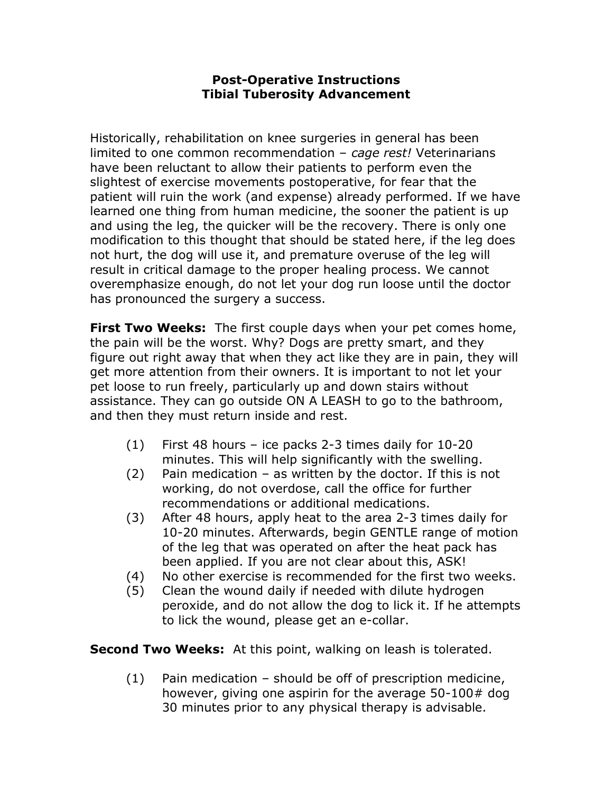## Post-Operative Instructions Tibial Tuberosity Advancement

Historically, rehabilitation on knee surgeries in general has been limited to one common recommendation  $-$  cage rest! Veterinarians have been reluctant to allow their patients to perform even the slightest of exercise movements postoperative, for fear that the patient will ruin the work (and expense) already performed. If we have learned one thing from human medicine, the sooner the patient is up and using the leg, the quicker will be the recovery. There is only one modification to this thought that should be stated here, if the leg does not hurt, the dog will use it, and premature overuse of the leg will result in critical damage to the proper healing process. We cannot overemphasize enough, do not let your dog run loose until the doctor has pronounced the surgery a success.

**First Two Weeks:** The first couple days when your pet comes home, the pain will be the worst. Why? Dogs are pretty smart, and they figure out right away that when they act like they are in pain, they will get more attention from their owners. It is important to not let your pet loose to run freely, particularly up and down stairs without assistance. They can go outside ON A LEASH to go to the bathroom, and then they must return inside and rest.

- (1) First 48 hours ice packs 2-3 times daily for 10-20 minutes. This will help significantly with the swelling.
- (2) Pain medication as written by the doctor. If this is not working, do not overdose, call the office for further recommendations or additional medications.
- (3) After 48 hours, apply heat to the area 2-3 times daily for 10-20 minutes. Afterwards, begin GENTLE range of motion of the leg that was operated on after the heat pack has been applied. If you are not clear about this, ASK!
- (4) No other exercise is recommended for the first two weeks.
- (5) Clean the wound daily if needed with dilute hydrogen peroxide, and do not allow the dog to lick it. If he attempts to lick the wound, please get an e-collar.

**Second Two Weeks:** At this point, walking on leash is tolerated.

(1) Pain medication – should be off of prescription medicine, however, giving one aspirin for the average 50-100# dog 30 minutes prior to any physical therapy is advisable.